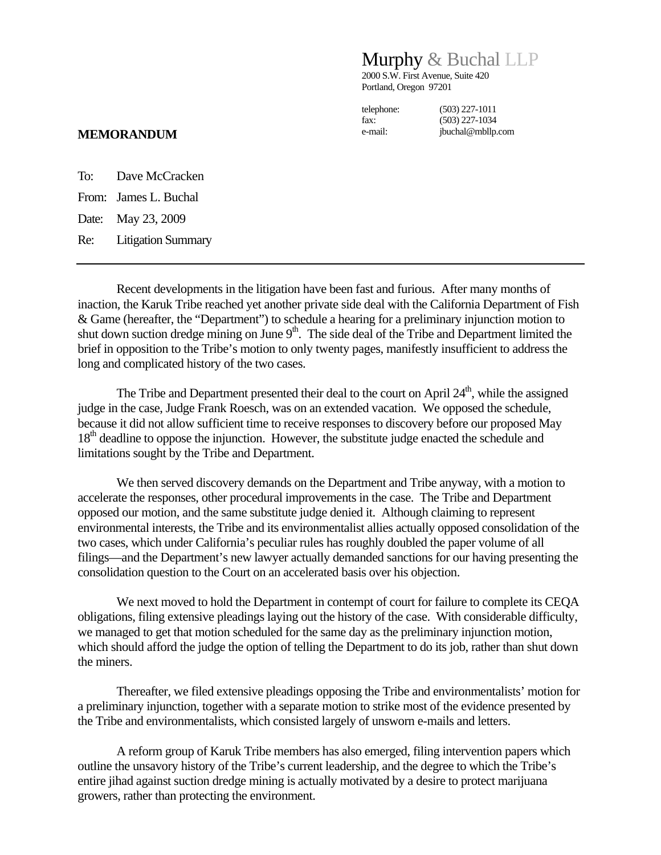## Murphy & Buchal LLP

2000 S.W. First Avenue, Suite 420 Portland, Oregon 97201

telephone: (503) 227-1011 fax: (503) 227-1034 e-mail: jbuchal@mbllp.com

## **MEMORANDUM**

To: Dave McCracken From: James L. Buchal Date: May 23, 2009 Re: Litigation Summary

 Recent developments in the litigation have been fast and furious. After many months of inaction, the Karuk Tribe reached yet another private side deal with the California Department of Fish & Game (hereafter, the "Department") to schedule a hearing for a preliminary injunction motion to shut down suction dredge mining on June  $9<sup>th</sup>$ . The side deal of the Tribe and Department limited the brief in opposition to the Tribe's motion to only twenty pages, manifestly insufficient to address the long and complicated history of the two cases.

The Tribe and Department presented their deal to the court on April  $24<sup>th</sup>$ , while the assigned judge in the case, Judge Frank Roesch, was on an extended vacation. We opposed the schedule, because it did not allow sufficient time to receive responses to discovery before our proposed May 18<sup>th</sup> deadline to oppose the injunction. However, the substitute judge enacted the schedule and limitations sought by the Tribe and Department.

We then served discovery demands on the Department and Tribe anyway, with a motion to accelerate the responses, other procedural improvements in the case. The Tribe and Department opposed our motion, and the same substitute judge denied it. Although claiming to represent environmental interests, the Tribe and its environmentalist allies actually opposed consolidation of the two cases, which under California's peculiar rules has roughly doubled the paper volume of all filings—and the Department's new lawyer actually demanded sanctions for our having presenting the consolidation question to the Court on an accelerated basis over his objection.

We next moved to hold the Department in contempt of court for failure to complete its CEQA obligations, filing extensive pleadings laying out the history of the case. With considerable difficulty, we managed to get that motion scheduled for the same day as the preliminary injunction motion, which should afford the judge the option of telling the Department to do its job, rather than shut down the miners.

Thereafter, we filed extensive pleadings opposing the Tribe and environmentalists' motion for a preliminary injunction, together with a separate motion to strike most of the evidence presented by the Tribe and environmentalists, which consisted largely of unsworn e-mails and letters.

A reform group of Karuk Tribe members has also emerged, filing intervention papers which outline the unsavory history of the Tribe's current leadership, and the degree to which the Tribe's entire jihad against suction dredge mining is actually motivated by a desire to protect marijuana growers, rather than protecting the environment.